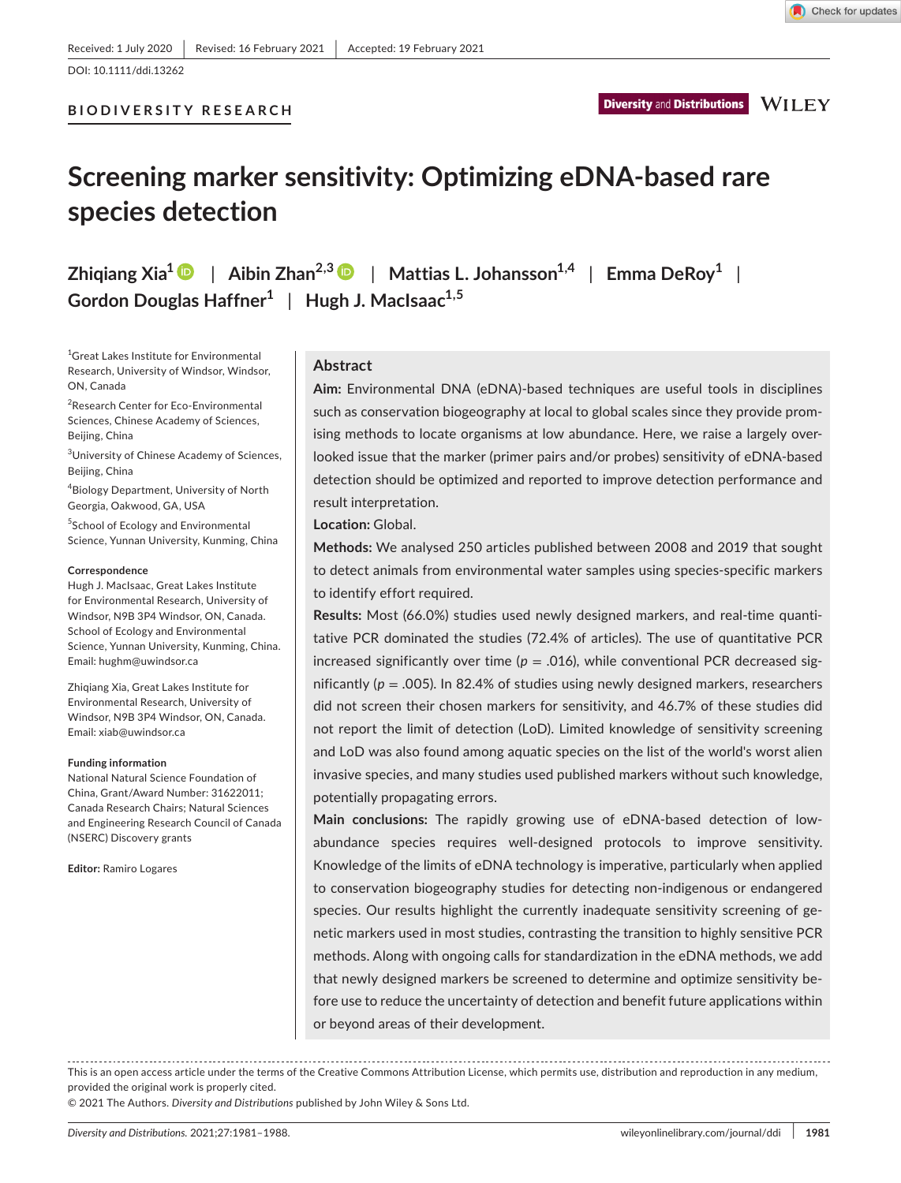DOI: 10.1111/ddi.13262

# **Screening marker sensitivity: Optimizing eDNA-based rare species detection**

**Zhigiang Xia<sup>1</sup>**  $\bullet$  **| Aibin Zhan<sup>2,3</sup>**  $\bullet$  **| Mattias L. Johansson<sup>1,4</sup> | Emma DeRoy<sup>1</sup> | Gordon Douglas Haffner1** | **Hugh J. MacIsaac1,5**

1 Great Lakes Institute for Environmental Research, University of Windsor, Windsor, ON, Canada

<sup>2</sup>Research Center for Eco-Environmental Sciences, Chinese Academy of Sciences, Beijing, China

<sup>3</sup>University of Chinese Academy of Sciences, Beijing, China

4 Biology Department, University of North Georgia, Oakwood, GA, USA

5 School of Ecology and Environmental Science, Yunnan University, Kunming, China

#### **Correspondence**

Hugh J. MacIsaac, Great Lakes Institute for Environmental Research, University of Windsor, N9B 3P4 Windsor, ON, Canada. School of Ecology and Environmental Science, Yunnan University, Kunming, China. Email: [hughm@uwindsor.ca](mailto:hughm@uwindsor.ca)

Zhiqiang Xia, Great Lakes Institute for Environmental Research, University of Windsor, N9B 3P4 Windsor, ON, Canada. Email: [xiab@uwindsor.ca](mailto:xiab@uwindsor.ca)

#### **Funding information**

National Natural Science Foundation of China, Grant/Award Number: 31622011; Canada Research Chairs; Natural Sciences and Engineering Research Council of Canada (NSERC) Discovery grants

**Editor:** Ramiro Logares

# **Abstract**

**Aim:** Environmental DNA (eDNA)-based techniques are useful tools in disciplines such as conservation biogeography at local to global scales since they provide promising methods to locate organisms at low abundance. Here, we raise a largely overlooked issue that the marker (primer pairs and/or probes) sensitivity of eDNA-based detection should be optimized and reported to improve detection performance and result interpretation.

**Location:** Global.

**Methods:** We analysed 250 articles published between 2008 and 2019 that sought to detect animals from environmental water samples using species-specific markers to identify effort required.

**Results:** Most (66.0%) studies used newly designed markers, and real-time quantitative PCR dominated the studies (72.4% of articles). The use of quantitative PCR increased significantly over time ( $p = .016$ ), while conventional PCR decreased significantly ( $p = .005$ ). In 82.4% of studies using newly designed markers, researchers did not screen their chosen markers for sensitivity, and 46.7% of these studies did not report the limit of detection (LoD). Limited knowledge of sensitivity screening and LoD was also found among aquatic species on the list of the world's worst alien invasive species, and many studies used published markers without such knowledge, potentially propagating errors.

**Main conclusions:** The rapidly growing use of eDNA-based detection of lowabundance species requires well-designed protocols to improve sensitivity. Knowledge of the limits of eDNA technology is imperative, particularly when applied to conservation biogeography studies for detecting non-indigenous or endangered species. Our results highlight the currently inadequate sensitivity screening of genetic markers used in most studies, contrasting the transition to highly sensitive PCR methods. Along with ongoing calls for standardization in the eDNA methods, we add that newly designed markers be screened to determine and optimize sensitivity before use to reduce the uncertainty of detection and benefit future applications within or beyond areas of their development.

This is an open access article under the terms of the [Creative Commons Attribution](http://creativecommons.org/licenses/by/4.0/) License, which permits use, distribution and reproduction in any medium, provided the original work is properly cited.

© 2021 The Authors. *Diversity and Distributions* published by John Wiley & Sons Ltd.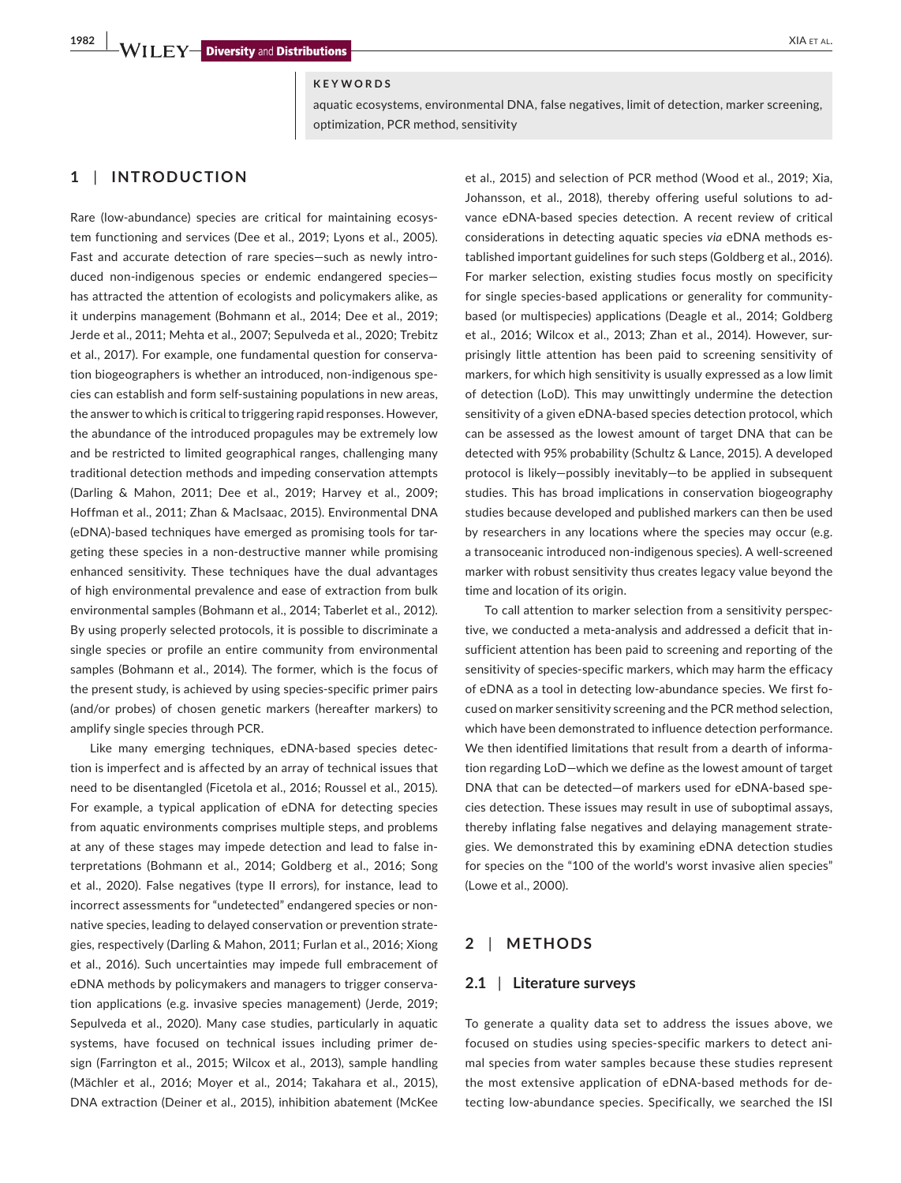### **KEYWORDS**

aquatic ecosystems, environmental DNA, false negatives, limit of detection, marker screening, optimization, PCR method, sensitivity

# **1** | **INTRODUCTION**

Rare (low-abundance) species are critical for maintaining ecosystem functioning and services (Dee et al., 2019; Lyons et al., 2005). Fast and accurate detection of rare species—such as newly introduced non-indigenous species or endemic endangered species has attracted the attention of ecologists and policymakers alike, as it underpins management (Bohmann et al., 2014; Dee et al., 2019; Jerde et al., 2011; Mehta et al., 2007; Sepulveda et al., 2020; Trebitz et al., 2017). For example, one fundamental question for conservation biogeographers is whether an introduced, non-indigenous species can establish and form self-sustaining populations in new areas, the answer to which is critical to triggering rapid responses. However, the abundance of the introduced propagules may be extremely low and be restricted to limited geographical ranges, challenging many traditional detection methods and impeding conservation attempts (Darling & Mahon, 2011; Dee et al., 2019; Harvey et al., 2009; Hoffman et al., 2011; Zhan & MacIsaac, 2015). Environmental DNA (eDNA)-based techniques have emerged as promising tools for targeting these species in a non-destructive manner while promising enhanced sensitivity. These techniques have the dual advantages of high environmental prevalence and ease of extraction from bulk environmental samples (Bohmann et al., 2014; Taberlet et al., 2012). By using properly selected protocols, it is possible to discriminate a single species or profile an entire community from environmental samples (Bohmann et al., 2014). The former, which is the focus of the present study, is achieved by using species-specific primer pairs (and/or probes) of chosen genetic markers (hereafter markers) to amplify single species through PCR.

Like many emerging techniques, eDNA-based species detection is imperfect and is affected by an array of technical issues that need to be disentangled (Ficetola et al., 2016; Roussel et al., 2015). For example, a typical application of eDNA for detecting species from aquatic environments comprises multiple steps, and problems at any of these stages may impede detection and lead to false interpretations (Bohmann et al., 2014; Goldberg et al., 2016; Song et al., 2020). False negatives (type II errors), for instance, lead to incorrect assessments for "undetected" endangered species or nonnative species, leading to delayed conservation or prevention strategies, respectively (Darling & Mahon, 2011; Furlan et al., 2016; Xiong et al., 2016). Such uncertainties may impede full embracement of eDNA methods by policymakers and managers to trigger conservation applications (e.g. invasive species management) (Jerde, 2019; Sepulveda et al., 2020). Many case studies, particularly in aquatic systems, have focused on technical issues including primer design (Farrington et al., 2015; Wilcox et al., 2013), sample handling (Mächler et al., 2016; Moyer et al., 2014; Takahara et al., 2015), DNA extraction (Deiner et al., 2015), inhibition abatement (McKee

et al., 2015) and selection of PCR method (Wood et al., 2019; Xia, Johansson, et al., 2018), thereby offering useful solutions to advance eDNA-based species detection. A recent review of critical considerations in detecting aquatic species *via* eDNA methods established important guidelines for such steps (Goldberg et al., 2016). For marker selection, existing studies focus mostly on specificity for single species-based applications or generality for communitybased (or multispecies) applications (Deagle et al., 2014; Goldberg et al., 2016; Wilcox et al., 2013; Zhan et al., 2014). However, surprisingly little attention has been paid to screening sensitivity of markers, for which high sensitivity is usually expressed as a low limit of detection (LoD). This may unwittingly undermine the detection sensitivity of a given eDNA-based species detection protocol, which can be assessed as the lowest amount of target DNA that can be detected with 95% probability (Schultz & Lance, 2015). A developed protocol is likely—possibly inevitably—to be applied in subsequent studies. This has broad implications in conservation biogeography studies because developed and published markers can then be used by researchers in any locations where the species may occur (e.g. a transoceanic introduced non-indigenous species). A well-screened marker with robust sensitivity thus creates legacy value beyond the time and location of its origin.

To call attention to marker selection from a sensitivity perspective, we conducted a meta-analysis and addressed a deficit that insufficient attention has been paid to screening and reporting of the sensitivity of species-specific markers, which may harm the efficacy of eDNA as a tool in detecting low-abundance species. We first focused on marker sensitivity screening and the PCR method selection, which have been demonstrated to influence detection performance. We then identified limitations that result from a dearth of information regarding LoD—which we define as the lowest amount of target DNA that can be detected—of markers used for eDNA-based species detection. These issues may result in use of suboptimal assays, thereby inflating false negatives and delaying management strategies. We demonstrated this by examining eDNA detection studies for species on the "100 of the world's worst invasive alien species" (Lowe et al., 2000).

### **2** | **METHODS**

### **2.1** | **Literature surveys**

To generate a quality data set to address the issues above, we focused on studies using species-specific markers to detect animal species from water samples because these studies represent the most extensive application of eDNA-based methods for detecting low-abundance species. Specifically, we searched the ISI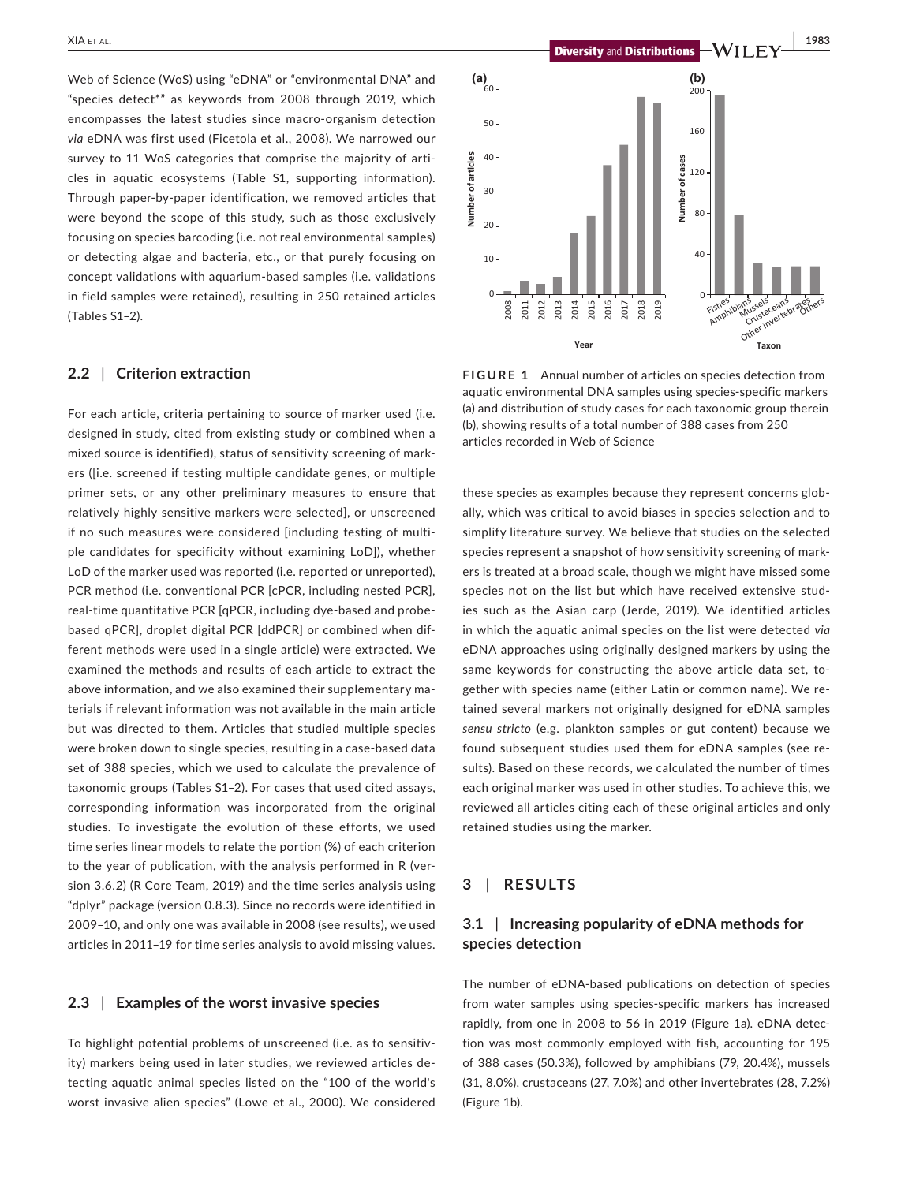Web of Science (WoS) using "eDNA" or "environmental DNA" and "species detect\*" as keywords from 2008 through 2019, which encompasses the latest studies since macro-organism detection *via* eDNA was first used (Ficetola et al., 2008). We narrowed our survey to 11 WoS categories that comprise the majority of articles in aquatic ecosystems (Table S1, supporting information). Through paper-by-paper identification, we removed articles that were beyond the scope of this study, such as those exclusively focusing on species barcoding (i.e. not real environmental samples) or detecting algae and bacteria, etc., or that purely focusing on concept validations with aquarium-based samples (i.e. validations in field samples were retained), resulting in 250 retained articles (Tables S1–2).

### **2.2** | **Criterion extraction**

For each article, criteria pertaining to source of marker used (i.e. designed in study, cited from existing study or combined when a mixed source is identified), status of sensitivity screening of markers ([i.e. screened if testing multiple candidate genes, or multiple primer sets, or any other preliminary measures to ensure that relatively highly sensitive markers were selected], or unscreened if no such measures were considered [including testing of multiple candidates for specificity without examining LoD]), whether LoD of the marker used was reported (i.e. reported or unreported), PCR method (i.e. conventional PCR [cPCR, including nested PCR], real-time quantitative PCR [qPCR, including dye-based and probebased qPCR], droplet digital PCR [ddPCR] or combined when different methods were used in a single article) were extracted. We examined the methods and results of each article to extract the above information, and we also examined their supplementary materials if relevant information was not available in the main article but was directed to them. Articles that studied multiple species were broken down to single species, resulting in a case-based data set of 388 species, which we used to calculate the prevalence of taxonomic groups (Tables S1–2). For cases that used cited assays, corresponding information was incorporated from the original studies. To investigate the evolution of these efforts, we used time series linear models to relate the portion (%) of each criterion to the year of publication, with the analysis performed in R (version 3.6.2) (R Core Team, 2019) and the time series analysis using "dplyr" package (version 0.8.3). Since no records were identified in 2009–10, and only one was available in 2008 (see results), we used articles in 2011–19 for time series analysis to avoid missing values.

# **2.3** | **Examples of the worst invasive species**

To highlight potential problems of unscreened (i.e. as to sensitivity) markers being used in later studies, we reviewed articles detecting aquatic animal species listed on the "100 of the world's worst invasive alien species" (Lowe et al., 2000). We considered



**FIGURE 1** Annual number of articles on species detection from aquatic environmental DNA samples using species-specific markers (a) and distribution of study cases for each taxonomic group therein (b), showing results of a total number of 388 cases from 250

**Year Taxon**

these species as examples because they represent concerns globally, which was critical to avoid biases in species selection and to simplify literature survey. We believe that studies on the selected species represent a snapshot of how sensitivity screening of markers is treated at a broad scale, though we might have missed some species not on the list but which have received extensive studies such as the Asian carp (Jerde, 2019). We identified articles in which the aquatic animal species on the list were detected *via* eDNA approaches using originally designed markers by using the same keywords for constructing the above article data set, together with species name (either Latin or common name). We retained several markers not originally designed for eDNA samples *sensu stricto* (e.g. plankton samples or gut content) because we found subsequent studies used them for eDNA samples (see results). Based on these records, we calculated the number of times each original marker was used in other studies. To achieve this, we reviewed all articles citing each of these original articles and only retained studies using the marker.

### **3** | **RESULTS**

# **3.1** | **Increasing popularity of eDNA methods for species detection**

The number of eDNA-based publications on detection of species from water samples using species-specific markers has increased rapidly, from one in 2008 to 56 in 2019 (Figure 1a). eDNA detection was most commonly employed with fish, accounting for 195 of 388 cases (50.3%), followed by amphibians (79, 20.4%), mussels (31, 8.0%), crustaceans (27, 7.0%) and other invertebrates (28, 7.2%) (Figure 1b).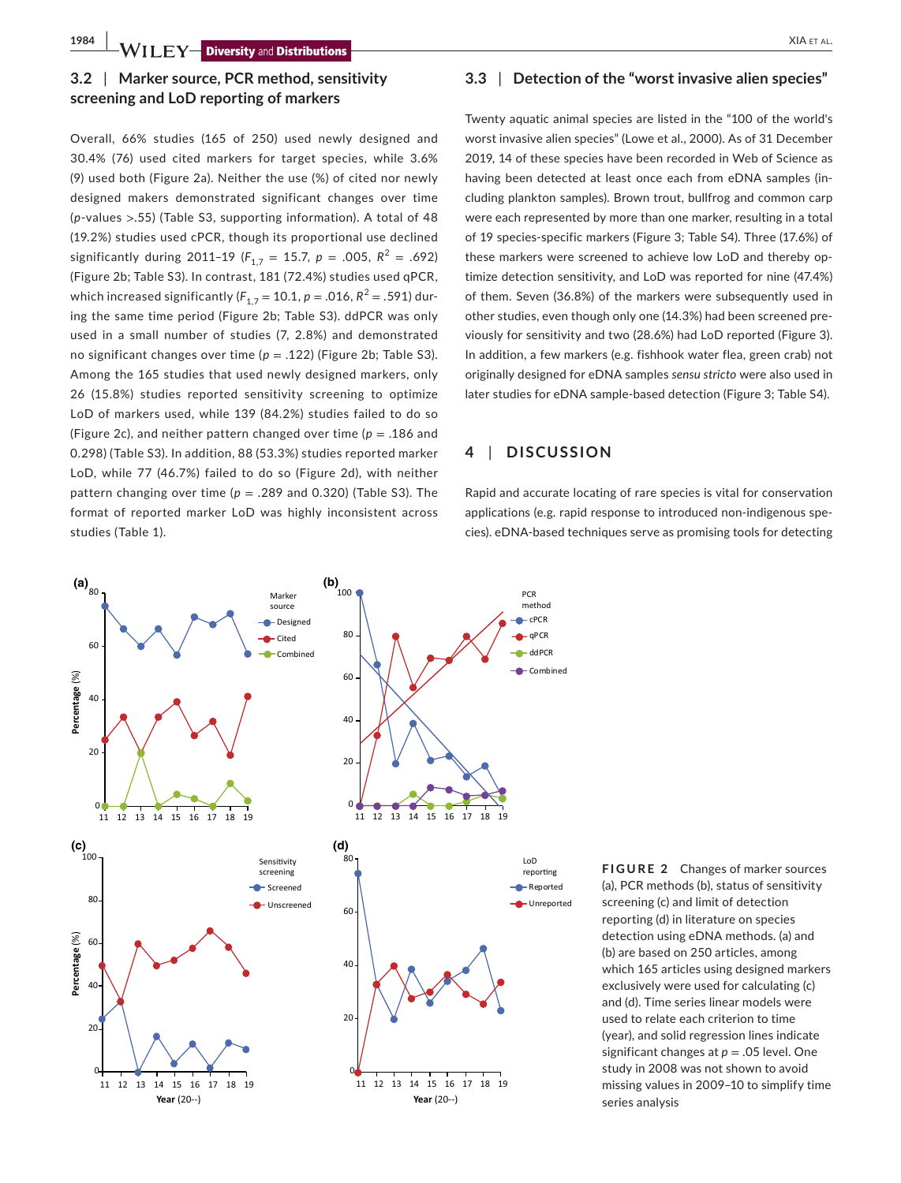# **3.2** | **Marker source, PCR method, sensitivity screening and LoD reporting of markers**

Overall, 66% studies (165 of 250) used newly designed and 30.4% (76) used cited markers for target species, while 3.6% (9) used both (Figure 2a). Neither the use (%) of cited nor newly designed makers demonstrated significant changes over time (*p*-values >.55) (Table S3, supporting information). A total of 48 (19.2%) studies used cPCR, though its proportional use declined significantly during 2011-19 ( $F_{1,7}$  = 15.7,  $p = .005$ ,  $R^2 = .692$ ) (Figure 2b; Table S3). In contrast, 181 (72.4%) studies used qPCR, which increased significantly ( $F_{1,7}$  = 10.1, *p* = .016,  $R^2$  = .591) during the same time period (Figure 2b; Table S3). ddPCR was only used in a small number of studies (7, 2.8%) and demonstrated no significant changes over time  $(p = .122)$  (Figure 2b; Table S3). Among the 165 studies that used newly designed markers, only 26 (15.8%) studies reported sensitivity screening to optimize LoD of markers used, while 139 (84.2%) studies failed to do so (Figure 2c), and neither pattern changed over time ( $p = .186$  and 0.298) (Table S3). In addition, 88 (53.3%) studies reported marker LoD, while 77 (46.7%) failed to do so (Figure 2d), with neither pattern changing over time ( $p = .289$  and 0.320) (Table S3). The format of reported marker LoD was highly inconsistent across studies (Table 1).

# **3.3** | **Detection of the "worst invasive alien species"**

Twenty aquatic animal species are listed in the "100 of the world's worst invasive alien species" (Lowe et al., 2000). As of 31 December 2019, 14 of these species have been recorded in Web of Science as having been detected at least once each from eDNA samples (including plankton samples). Brown trout, bullfrog and common carp were each represented by more than one marker, resulting in a total of 19 species-specific markers (Figure 3; Table S4). Three (17.6%) of these markers were screened to achieve low LoD and thereby optimize detection sensitivity, and LoD was reported for nine (47.4%) of them. Seven (36.8%) of the markers were subsequently used in other studies, even though only one (14.3%) had been screened previously for sensitivity and two (28.6%) had LoD reported (Figure 3). In addition, a few markers (e.g. fishhook water flea, green crab) not originally designed for eDNA samples *sensu stricto* were also used in later studies for eDNA sample-based detection (Figure 3; Table S4).

## **4** | **DISCUSSION**

Rapid and accurate locating of rare species is vital for conservation applications (e.g. rapid response to introduced non-indigenous species). eDNA-based techniques serve as promising tools for detecting



**FIGURE 2** Changes of marker sources (a), PCR methods (b), status of sensitivity screening (c) and limit of detection reporting (d) in literature on species detection using eDNA methods. (a) and (b) are based on 250 articles, among which 165 articles using designed markers exclusively were used for calculating (c) and (d). Time series linear models were used to relate each criterion to time (year), and solid regression lines indicate significant changes at *p* = .05 level. One study in 2008 was not shown to avoid missing values in 2009–10 to simplify time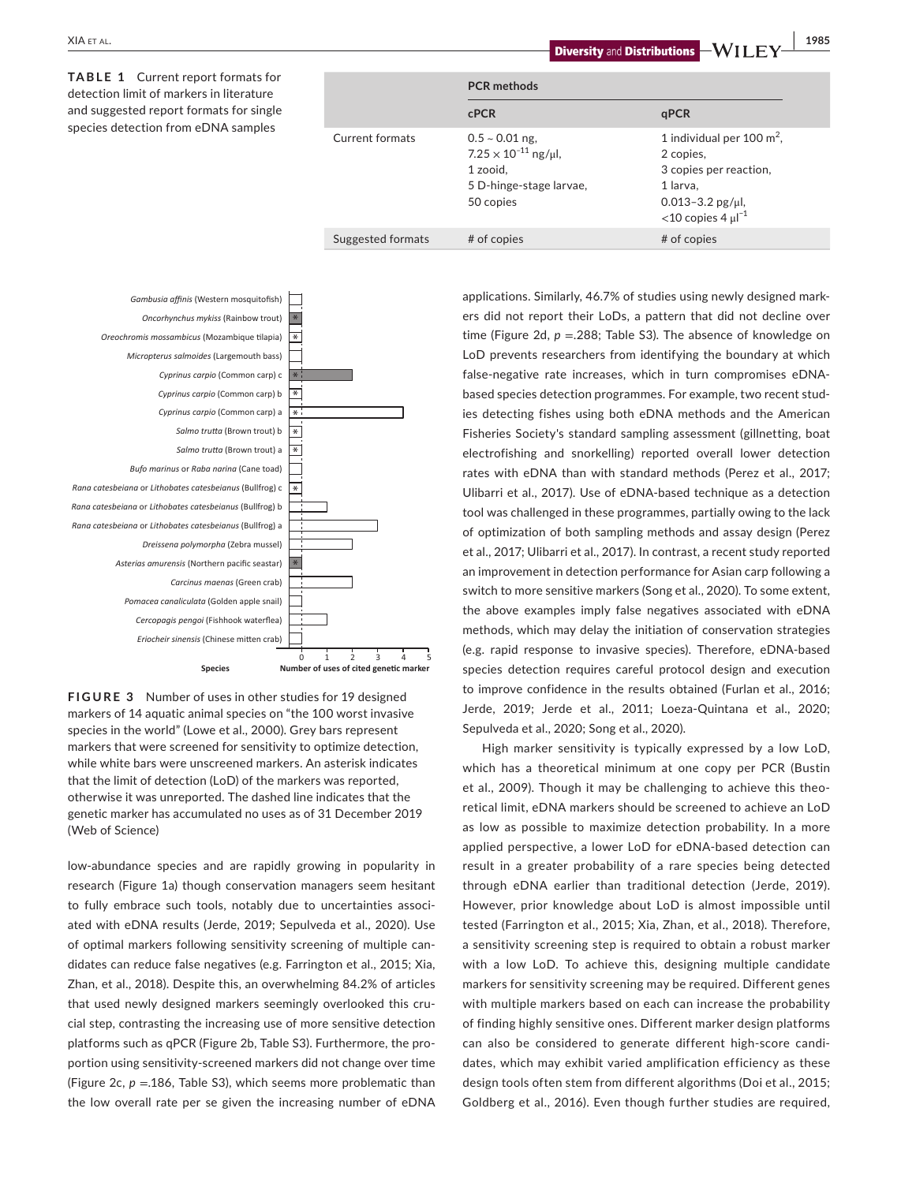**PCR methods cPCR qPCR** Current formats  $0.5 \sim 0.01$  ng,  $7.25 \times 10^{-11}$  ng/ $\mu$ l, 1 zooid, 5 D-hinge-stage larvae, 50 copies 1 individual per 100 m<sup>2</sup> 2 copies, 3 copies per reaction, 1 larva, 0.013–3.2 pg/μl,  $<$ 10 copies 4  $\mu$ l<sup>-1</sup> Suggested formats # of copies #  $#$  of copies # of copies **TABLE 1** Current report formats for detection limit of markers in literature and suggested report formats for single species detection from eDNA samples





low-abundance species and are rapidly growing in popularity in research (Figure 1a) though conservation managers seem hesitant to fully embrace such tools, notably due to uncertainties associated with eDNA results (Jerde, 2019; Sepulveda et al., 2020). Use of optimal markers following sensitivity screening of multiple candidates can reduce false negatives (e.g. Farrington et al., 2015; Xia, Zhan, et al., 2018). Despite this, an overwhelming 84.2% of articles that used newly designed markers seemingly overlooked this crucial step, contrasting the increasing use of more sensitive detection platforms such as qPCR (Figure 2b, Table S3). Furthermore, the proportion using sensitivity-screened markers did not change over time (Figure 2c, *p* =.186, Table S3), which seems more problematic than the low overall rate per se given the increasing number of eDNA applications. Similarly, 46.7% of studies using newly designed markers did not report their LoDs, a pattern that did not decline over time (Figure 2d,  $p = 288$ ; Table S3). The absence of knowledge on LoD prevents researchers from identifying the boundary at which false-negative rate increases, which in turn compromises eDNAbased species detection programmes. For example, two recent studies detecting fishes using both eDNA methods and the American Fisheries Society's standard sampling assessment (gillnetting, boat electrofishing and snorkelling) reported overall lower detection rates with eDNA than with standard methods (Perez et al., 2017; Ulibarri et al., 2017). Use of eDNA-based technique as a detection tool was challenged in these programmes, partially owing to the lack of optimization of both sampling methods and assay design (Perez et al., 2017; Ulibarri et al., 2017). In contrast, a recent study reported an improvement in detection performance for Asian carp following a switch to more sensitive markers (Song et al., 2020). To some extent, the above examples imply false negatives associated with eDNA methods, which may delay the initiation of conservation strategies (e.g. rapid response to invasive species). Therefore, eDNA-based species detection requires careful protocol design and execution to improve confidence in the results obtained (Furlan et al., 2016; Jerde, 2019; Jerde et al., 2011; Loeza-Quintana et al., 2020; Sepulveda et al., 2020; Song et al., 2020).

High marker sensitivity is typically expressed by a low LoD, which has a theoretical minimum at one copy per PCR (Bustin et al., 2009). Though it may be challenging to achieve this theoretical limit, eDNA markers should be screened to achieve an LoD as low as possible to maximize detection probability. In a more applied perspective, a lower LoD for eDNA-based detection can result in a greater probability of a rare species being detected through eDNA earlier than traditional detection (Jerde, 2019). However, prior knowledge about LoD is almost impossible until tested (Farrington et al., 2015; Xia, Zhan, et al., 2018). Therefore, a sensitivity screening step is required to obtain a robust marker with a low LoD. To achieve this, designing multiple candidate markers for sensitivity screening may be required. Different genes with multiple markers based on each can increase the probability of finding highly sensitive ones. Different marker design platforms can also be considered to generate different high-score candidates, which may exhibit varied amplification efficiency as these design tools often stem from different algorithms (Doi et al., 2015; Goldberg et al., 2016). Even though further studies are required,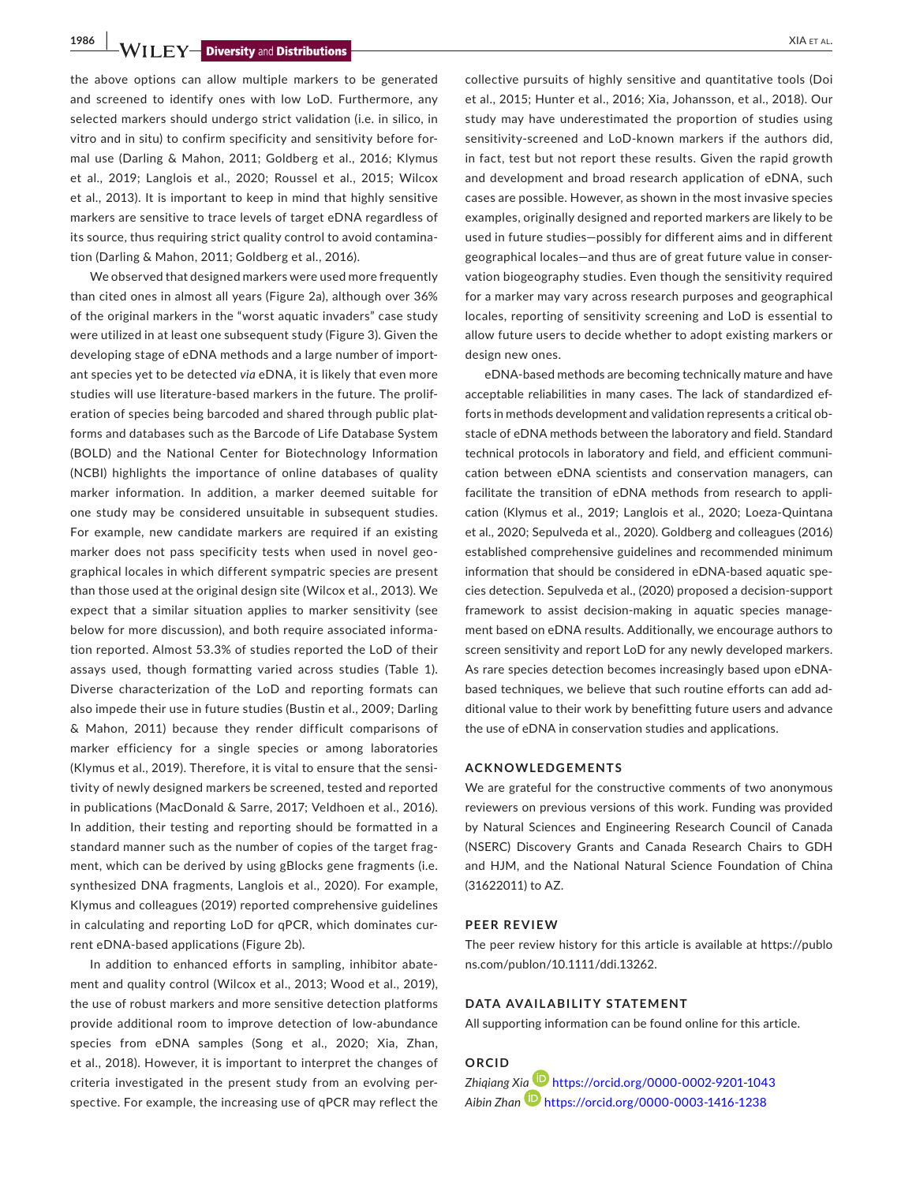**1986 WILEY Diversity** and **Distributions** 

the above options can allow multiple markers to be generated and screened to identify ones with low LoD. Furthermore, any selected markers should undergo strict validation (i.e. in silico, in vitro and in situ) to confirm specificity and sensitivity before formal use (Darling & Mahon, 2011; Goldberg et al., 2016; Klymus et al., 2019; Langlois et al., 2020; Roussel et al., 2015; Wilcox et al., 2013). It is important to keep in mind that highly sensitive markers are sensitive to trace levels of target eDNA regardless of its source, thus requiring strict quality control to avoid contamination (Darling & Mahon, 2011; Goldberg et al., 2016).

We observed that designed markers were used more frequently than cited ones in almost all years (Figure 2a), although over 36% of the original markers in the "worst aquatic invaders" case study were utilized in at least one subsequent study (Figure 3). Given the developing stage of eDNA methods and a large number of important species yet to be detected *via* eDNA, it is likely that even more studies will use literature-based markers in the future. The proliferation of species being barcoded and shared through public platforms and databases such as the Barcode of Life Database System (BOLD) and the National Center for Biotechnology Information (NCBI) highlights the importance of online databases of quality marker information. In addition, a marker deemed suitable for one study may be considered unsuitable in subsequent studies. For example, new candidate markers are required if an existing marker does not pass specificity tests when used in novel geographical locales in which different sympatric species are present than those used at the original design site (Wilcox et al., 2013). We expect that a similar situation applies to marker sensitivity (see below for more discussion), and both require associated information reported. Almost 53.3% of studies reported the LoD of their assays used, though formatting varied across studies (Table 1). Diverse characterization of the LoD and reporting formats can also impede their use in future studies (Bustin et al., 2009; Darling & Mahon, 2011) because they render difficult comparisons of marker efficiency for a single species or among laboratories (Klymus et al., 2019). Therefore, it is vital to ensure that the sensitivity of newly designed markers be screened, tested and reported in publications (MacDonald & Sarre, 2017; Veldhoen et al., 2016). In addition, their testing and reporting should be formatted in a standard manner such as the number of copies of the target fragment, which can be derived by using gBlocks gene fragments (i.e. synthesized DNA fragments, Langlois et al., 2020). For example, Klymus and colleagues (2019) reported comprehensive guidelines in calculating and reporting LoD for qPCR, which dominates current eDNA-based applications (Figure 2b).

In addition to enhanced efforts in sampling, inhibitor abatement and quality control (Wilcox et al., 2013; Wood et al., 2019), the use of robust markers and more sensitive detection platforms provide additional room to improve detection of low-abundance species from eDNA samples (Song et al., 2020; Xia, Zhan, et al., 2018). However, it is important to interpret the changes of criteria investigated in the present study from an evolving perspective. For example, the increasing use of qPCR may reflect the

collective pursuits of highly sensitive and quantitative tools (Doi et al., 2015; Hunter et al., 2016; Xia, Johansson, et al., 2018). Our study may have underestimated the proportion of studies using sensitivity-screened and LoD-known markers if the authors did, in fact, test but not report these results. Given the rapid growth and development and broad research application of eDNA, such cases are possible. However, as shown in the most invasive species examples, originally designed and reported markers are likely to be used in future studies—possibly for different aims and in different geographical locales—and thus are of great future value in conservation biogeography studies. Even though the sensitivity required for a marker may vary across research purposes and geographical locales, reporting of sensitivity screening and LoD is essential to allow future users to decide whether to adopt existing markers or design new ones.

eDNA-based methods are becoming technically mature and have acceptable reliabilities in many cases. The lack of standardized efforts in methods development and validation represents a critical obstacle of eDNA methods between the laboratory and field. Standard technical protocols in laboratory and field, and efficient communication between eDNA scientists and conservation managers, can facilitate the transition of eDNA methods from research to application (Klymus et al., 2019; Langlois et al., 2020; Loeza-Quintana et al., 2020; Sepulveda et al., 2020). Goldberg and colleagues (2016) established comprehensive guidelines and recommended minimum information that should be considered in eDNA-based aquatic species detection. Sepulveda et al., (2020) proposed a decision-support framework to assist decision-making in aquatic species management based on eDNA results. Additionally, we encourage authors to screen sensitivity and report LoD for any newly developed markers. As rare species detection becomes increasingly based upon eDNAbased techniques, we believe that such routine efforts can add additional value to their work by benefitting future users and advance the use of eDNA in conservation studies and applications.

### **ACKNOWLEDGEMENTS**

We are grateful for the constructive comments of two anonymous reviewers on previous versions of this work. Funding was provided by Natural Sciences and Engineering Research Council of Canada (NSERC) Discovery Grants and Canada Research Chairs to GDH and HJM, and the National Natural Science Foundation of China (31622011) to AZ.

#### **PEER REVIEW**

The peer review history for this article is available at [https://publo](https://publons.com/publon/10.1111/ddi.13262) [ns.com/publon/10.1111/ddi.13262.](https://publons.com/publon/10.1111/ddi.13262)

### **DATA AVAILABILITY STATEMENT**

All supporting information can be found online for this article.

# **ORCID**

*Zhiqiang X[ia](https://orcid.org/0000-0003-1416-1238)* <https://orcid.org/0000-0002-9201-1043> *Aibin Zhan* <https://orcid.org/0000-0003-1416-1238>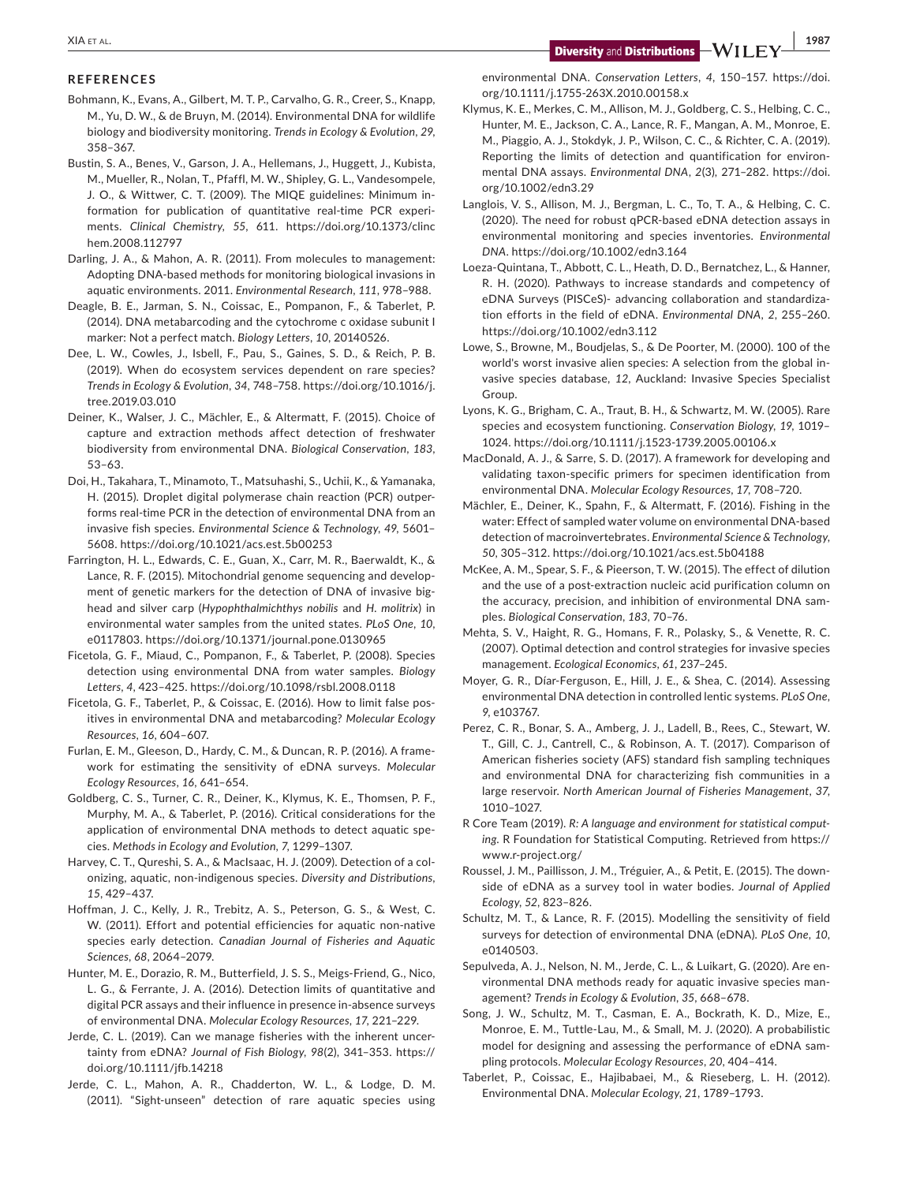**|** XIA et al. **1987**

### **REFERENCES**

- Bohmann, K., Evans, A., Gilbert, M. T. P., Carvalho, G. R., Creer, S., Knapp, M., Yu, D. W., & de Bruyn, M. (2014). Environmental DNA for wildlife biology and biodiversity monitoring. *Trends in Ecology & Evolution*, *29*, 358–367.
- Bustin, S. A., Benes, V., Garson, J. A., Hellemans, J., Huggett, J., Kubista, M., Mueller, R., Nolan, T., Pfaffl, M. W., Shipley, G. L., Vandesompele, J. O., & Wittwer, C. T. (2009). The MIQE guidelines: Minimum information for publication of quantitative real-time PCR experiments. *Clinical Chemistry*, *55*, 611. [https://doi.org/10.1373/clinc](https://doi.org/10.1373/clinchem.2008.112797) [hem.2008.112797](https://doi.org/10.1373/clinchem.2008.112797)
- Darling, J. A., & Mahon, A. R. (2011). From molecules to management: Adopting DNA-based methods for monitoring biological invasions in aquatic environments. 2011. *Environmental Research*, *111*, 978–988.
- Deagle, B. E., Jarman, S. N., Coissac, E., Pompanon, F., & Taberlet, P. (2014). DNA metabarcoding and the cytochrome c oxidase subunit I marker: Not a perfect match. *Biology Letters*, *10*, 20140526.
- Dee, L. W., Cowles, J., Isbell, F., Pau, S., Gaines, S. D., & Reich, P. B. (2019). When do ecosystem services dependent on rare species? *Trends in Ecology & Evolution*, *34*, 748–758. [https://doi.org/10.1016/j.](https://doi.org/10.1016/j.tree.2019.03.010) [tree.2019.03.010](https://doi.org/10.1016/j.tree.2019.03.010)
- Deiner, K., Walser, J. C., Mächler, E., & Altermatt, F. (2015). Choice of capture and extraction methods affect detection of freshwater biodiversity from environmental DNA. *Biological Conservation*, *183*, 53–63.
- Doi, H., Takahara, T., Minamoto, T., Matsuhashi, S., Uchii, K., & Yamanaka, H. (2015). Droplet digital polymerase chain reaction (PCR) outperforms real-time PCR in the detection of environmental DNA from an invasive fish species. *Environmental Science & Technology*, *49*, 5601– 5608. <https://doi.org/10.1021/acs.est.5b00253>
- Farrington, H. L., Edwards, C. E., Guan, X., Carr, M. R., Baerwaldt, K., & Lance, R. F. (2015). Mitochondrial genome sequencing and development of genetic markers for the detection of DNA of invasive bighead and silver carp (*Hypophthalmichthys nobilis* and *H. molitrix*) in environmental water samples from the united states. *PLoS One*, *10*, e0117803.<https://doi.org/10.1371/journal.pone.0130965>
- Ficetola, G. F., Miaud, C., Pompanon, F., & Taberlet, P. (2008). Species detection using environmental DNA from water samples. *Biology Letters*, *4*, 423–425. <https://doi.org/10.1098/rsbl.2008.0118>
- Ficetola, G. F., Taberlet, P., & Coissac, E. (2016). How to limit false positives in environmental DNA and metabarcoding? *Molecular Ecology Resources*, *16*, 604–607.
- Furlan, E. M., Gleeson, D., Hardy, C. M., & Duncan, R. P. (2016). A framework for estimating the sensitivity of eDNA surveys. *Molecular Ecology Resources*, *16*, 641–654.
- Goldberg, C. S., Turner, C. R., Deiner, K., Klymus, K. E., Thomsen, P. F., Murphy, M. A., & Taberlet, P. (2016). Critical considerations for the application of environmental DNA methods to detect aquatic species. *Methods in Ecology and Evolution*, *7*, 1299–1307.
- Harvey, C. T., Qureshi, S. A., & MacIsaac, H. J. (2009). Detection of a colonizing, aquatic, non-indigenous species. *Diversity and Distributions*, *15*, 429–437.
- Hoffman, J. C., Kelly, J. R., Trebitz, A. S., Peterson, G. S., & West, C. W. (2011). Effort and potential efficiencies for aquatic non-native species early detection. *Canadian Journal of Fisheries and Aquatic Sciences*, *68*, 2064–2079.
- Hunter, M. E., Dorazio, R. M., Butterfield, J. S. S., Meigs-Friend, G., Nico, L. G., & Ferrante, J. A. (2016). Detection limits of quantitative and digital PCR assays and their influence in presence in-absence surveys of environmental DNA. *Molecular Ecology Resources*, *17*, 221–229.
- Jerde, C. L. (2019). Can we manage fisheries with the inherent uncertainty from eDNA? *Journal of Fish Biology*, *98*(2), 341–353. [https://](https://doi.org/10.1111/jfb.14218) [doi.org/10.1111/jfb.14218](https://doi.org/10.1111/jfb.14218)
- Jerde, C. L., Mahon, A. R., Chadderton, W. L., & Lodge, D. M. (2011). "Sight-unseen" detection of rare aquatic species using

environmental DNA. *Conservation Letters*, *4*, 150–157. [https://doi.](https://doi.org/10.1111/j.1755-263X.2010.00158.x) [org/10.1111/j.1755-263X.2010.00158.x](https://doi.org/10.1111/j.1755-263X.2010.00158.x)

- Klymus, K. E., Merkes, C. M., Allison, M. J., Goldberg, C. S., Helbing, C. C., Hunter, M. E., Jackson, C. A., Lance, R. F., Mangan, A. M., Monroe, E. M., Piaggio, A. J., Stokdyk, J. P., Wilson, C. C., & Richter, C. A. (2019). Reporting the limits of detection and quantification for environmental DNA assays. *Environmental DNA*, *2*(3), 271–282. [https://doi.](https://doi.org/10.1002/edn3.29) [org/10.1002/edn3.29](https://doi.org/10.1002/edn3.29)
- Langlois, V. S., Allison, M. J., Bergman, L. C., To, T. A., & Helbing, C. C. (2020). The need for robust qPCR-based eDNA detection assays in environmental monitoring and species inventories. *Environmental DNA*.<https://doi.org/10.1002/edn3.164>
- Loeza-Quintana, T., Abbott, C. L., Heath, D. D., Bernatchez, L., & Hanner, R. H. (2020). Pathways to increase standards and competency of eDNA Surveys (PISCeS)- advancing collaboration and standardization efforts in the field of eDNA. *Environmental DNA*, *2*, 255–260. <https://doi.org/10.1002/edn3.112>
- Lowe, S., Browne, M., Boudjelas, S., & De Poorter, M. (2000). 100 of the world's worst invasive alien species: A selection from the global invasive species database, *12*, Auckland: Invasive Species Specialist Group.
- Lyons, K. G., Brigham, C. A., Traut, B. H., & Schwartz, M. W. (2005). Rare species and ecosystem functioning. *Conservation Biology*, *19*, 1019– 1024. <https://doi.org/10.1111/j.1523-1739.2005.00106.x>
- MacDonald, A. J., & Sarre, S. D. (2017). A framework for developing and validating taxon-specific primers for specimen identification from environmental DNA. *Molecular Ecology Resources*, *17*, 708–720.
- Mächler, E., Deiner, K., Spahn, F., & Altermatt, F. (2016). Fishing in the water: Effect of sampled water volume on environmental DNA-based detection of macroinvertebrates. *Environmental Science & Technology*, *50*, 305–312. <https://doi.org/10.1021/acs.est.5b04188>
- McKee, A. M., Spear, S. F., & Pieerson, T. W. (2015). The effect of dilution and the use of a post-extraction nucleic acid purification column on the accuracy, precision, and inhibition of environmental DNA samples. *Biological Conservation*, *183*, 70–76.
- Mehta, S. V., Haight, R. G., Homans, F. R., Polasky, S., & Venette, R. C. (2007). Optimal detection and control strategies for invasive species management. *Ecological Economics*, *61*, 237–245.
- Moyer, G. R., Díar-Ferguson, E., Hill, J. E., & Shea, C. (2014). Assessing environmental DNA detection in controlled lentic systems. *PLoS One*, *9*, e103767.
- Perez, C. R., Bonar, S. A., Amberg, J. J., Ladell, B., Rees, C., Stewart, W. T., Gill, C. J., Cantrell, C., & Robinson, A. T. (2017). Comparison of American fisheries society (AFS) standard fish sampling techniques and environmental DNA for characterizing fish communities in a large reservoir. *North American Journal of Fisheries Management*, *37*, 1010–1027.
- R Core Team (2019). *R: A language and environment for statistical computing*. R Foundation for Statistical Computing. Retrieved from [https://](https://www.r-project.org/) [www.r-project.org/](https://www.r-project.org/)
- Roussel, J. M., Paillisson, J. M., Tréguier, A., & Petit, E. (2015). The downside of eDNA as a survey tool in water bodies. *Journal of Applied Ecology*, *52*, 823–826.
- Schultz, M. T., & Lance, R. F. (2015). Modelling the sensitivity of field surveys for detection of environmental DNA (eDNA). *PLoS One*, *10*, e0140503.
- Sepulveda, A. J., Nelson, N. M., Jerde, C. L., & Luikart, G. (2020). Are environmental DNA methods ready for aquatic invasive species management? *Trends in Ecology & Evolution*, *35*, 668–678.
- Song, J. W., Schultz, M. T., Casman, E. A., Bockrath, K. D., Mize, E., Monroe, E. M., Tuttle-Lau, M., & Small, M. J. (2020). A probabilistic model for designing and assessing the performance of eDNA sampling protocols. *Molecular Ecology Resources*, *20*, 404–414.
- Taberlet, P., Coissac, E., Hajibabaei, M., & Rieseberg, L. H. (2012). Environmental DNA. *Molecular Ecology*, *21*, 1789–1793.